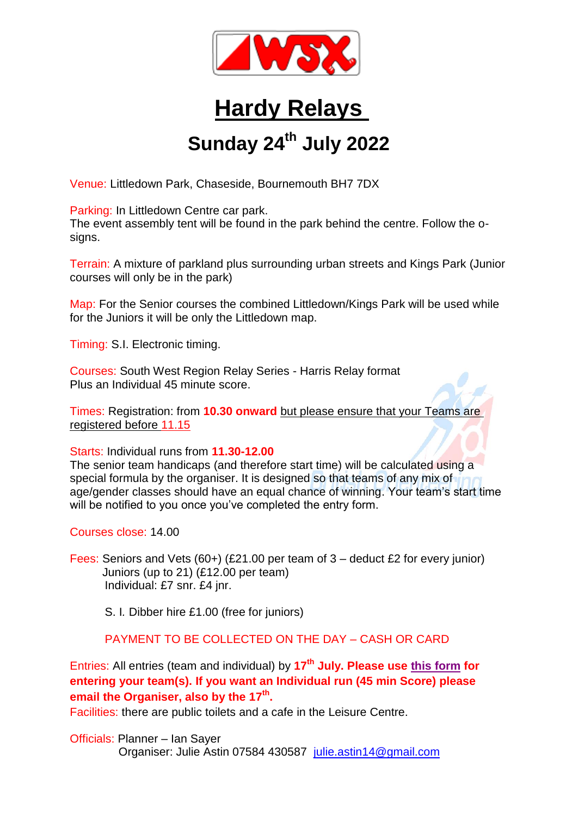

## **Hardy Relays**

## **Sunday 24 th July 2022**

Venue: Littledown Park, Chaseside, Bournemouth BH7 7DX

Parking: In Littledown Centre car park.

The event assembly tent will be found in the park behind the centre. Follow the osigns.

Terrain: A mixture of parkland plus surrounding urban streets and Kings Park (Junior courses will only be in the park)

Map: For the Senior courses the combined Littledown/Kings Park will be used while for the Juniors it will be only the Littledown map.

Timing: S.I. Electronic timing.

Courses: South West Region Relay Series - Harris Relay format Plus an Individual 45 minute score.

Times: Registration: from **10.30 onward** but please ensure that your Teams are registered before 11.15

Starts: Individual runs from **11.30-12.00**

The senior team handicaps (and therefore start time) will be calculated using a special formula by the organiser. It is designed so that teams of any mix of age/gender classes should have an equal chance of winning. Your team's start time will be notified to you once you've completed the entry form.

Courses close: 14.00

Fees: Seniors and Vets (60+) (£21.00 per team of 3 – deduct £2 for every junior) Juniors (up to 21) (£12.00 per team) Individual: £7 snr. £4 jnr.

S. I*.* Dibber hire £1.00 (free for juniors)

PAYMENT TO BE COLLECTED ON THE DAY – CASH OR CARD

Entries: All entries (team and individual) by **17th July. Please use this [form](https://docs.google.com/forms/d/1lfnqVNtx66TtwNXECwcQlW9EMCHSCRQtK6B8ONbfyMk/edit) for entering your team(s). If you want an Individual run (45 min Score) please email the Organiser, also by the 17 th .**

Facilities: there are public toilets and a cafe in the Leisure Centre.

Officials: Planner – Ian Sayer Organiser: Julie Astin 07584 430587 [julie.astin14@gmail.com](mailto:julie.astin14@gmail.com)